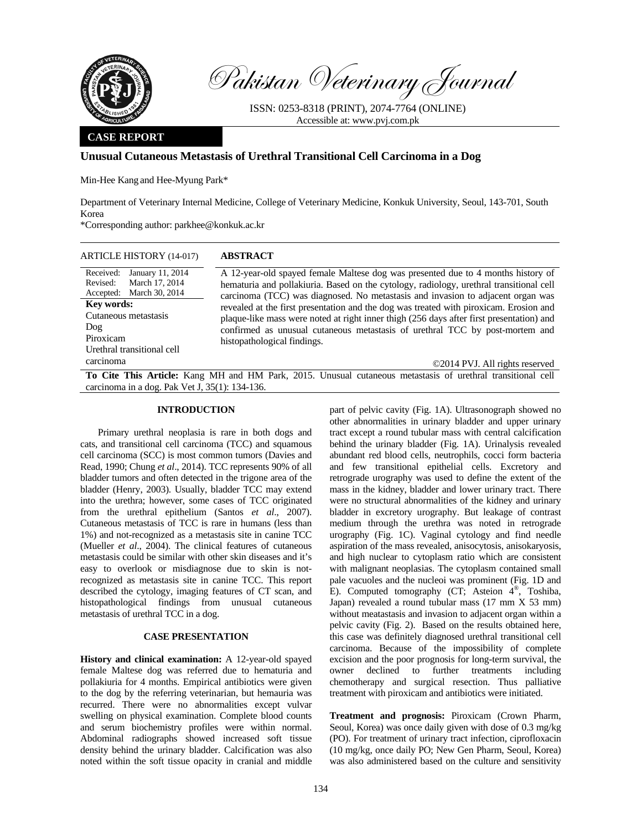

Pakistan Veterinary Journal

ISSN: 0253-8318 (PRINT), 2074-7764 (ONLINE) Accessible at: www.pvj.com.pk

### **CASE REPORT**

## **Unusual Cutaneous Metastasis of Urethral Transitional Cell Carcinoma in a Dog**

Min-Hee Kang and Hee-Myung Park\*

Department of Veterinary Internal Medicine, College of Veterinary Medicine, Konkuk University, Seoul, 143-701, South Korea

\*Corresponding author: parkhee@konkuk.ac.kr

| <b>ARTICLE HISTORY (14-017)</b>                                                             | <b>ABSTRACT</b>                                                                                                                                                                                                                                                                                   |
|---------------------------------------------------------------------------------------------|---------------------------------------------------------------------------------------------------------------------------------------------------------------------------------------------------------------------------------------------------------------------------------------------------|
| Received:<br>January 11, 2014<br>Revised:<br>March 17, 2014<br>Accepted: March 30, 2014     | A 12-year-old spayed female Maltese dog was presented due to 4 months history of<br>hematuria and pollakiuria. Based on the cytology, radiology, urethral transitional cell<br>carcinoma (TCC) was diagnosed. No metastasis and invasion to adjacent organ was                                    |
| <b>Key words:</b><br>Cutaneous metastasis<br>Dog<br>Piroxicam<br>Urethral transitional cell | revealed at the first presentation and the dog was treated with piroxicam. Erosion and<br>plaque-like mass were noted at right inner thigh (256 days after first presentation) and<br>confirmed as unusual cutaneous metastasis of urethral TCC by post-mortem and<br>histopathological findings. |
| carcinoma                                                                                   | ©2014 PVJ. All rights reserved                                                                                                                                                                                                                                                                    |
|                                                                                             | To Cite This Article: Kang MH and HM Park, 2015. Unusual cutaneous metastasis of urethral transitional cell                                                                                                                                                                                       |

# **To Cite This Article:** Kang MH and HM Park, 2015. Unusual cutaneous metastasis of urethral transitional cell carcinoma in a dog. Pak Vet  $\overline{J}$ , 35(1): 134-136.

## **INTRODUCTION**

Primary urethral neoplasia is rare in both dogs and cats, and transitional cell carcinoma (TCC) and squamous cell carcinoma (SCC) is most common tumors (Davies and Read, 1990; Chung *et al*., 2014). TCC represents 90% of all bladder tumors and often detected in the trigone area of the bladder (Henry, 2003). Usually, bladder TCC may extend into the urethra; however, some cases of TCC originated from the urethral epithelium (Santos *et al*., 2007). Cutaneous metastasis of TCC is rare in humans (less than 1%) and not-recognized as a metastasis site in canine TCC (Mueller *et al*., 2004). The clinical features of cutaneous metastasis could be similar with other skin diseases and it's easy to overlook or misdiagnose due to skin is notrecognized as metastasis site in canine TCC. This report described the cytology, imaging features of CT scan, and histopathological findings from unusual cutaneous metastasis of urethral TCC in a dog.

#### **CASE PRESENTATION**

**History and clinical examination:** A 12-year-old spayed female Maltese dog was referred due to hematuria and pollakiuria for 4 months. Empirical antibiotics were given to the dog by the referring veterinarian, but hemauria was recurred. There were no abnormalities except vulvar swelling on physical examination. Complete blood counts and serum biochemistry profiles were within normal. Abdominal radiographs showed increased soft tissue density behind the urinary bladder. Calcification was also noted within the soft tissue opacity in cranial and middle

part of pelvic cavity (Fig. 1A). Ultrasonograph showed no other abnormalities in urinary bladder and upper urinary tract except a round tubular mass with central calcification behind the urinary bladder (Fig. 1A). Urinalysis revealed abundant red blood cells, neutrophils, cocci form bacteria and few transitional epithelial cells. Excretory and retrograde urography was used to define the extent of the mass in the kidney, bladder and lower urinary tract. There were no structural abnormalities of the kidney and urinary bladder in excretory urography. But leakage of contrast medium through the urethra was noted in retrograde urography (Fig. 1C). Vaginal cytology and find needle aspiration of the mass revealed, anisocytosis, anisokaryosis, and high nuclear to cytoplasm ratio which are consistent with malignant neoplasias. The cytoplasm contained small pale vacuoles and the nucleoi was prominent (Fig. 1D and E). Computed tomography  $(CT;$  Asteion  $4^{\circ}$ , Toshiba, Japan) revealed a round tubular mass (17 mm X 53 mm) without meatastasis and invasion to adjacent organ within a pelvic cavity (Fig. 2). Based on the results obtained here, this case was definitely diagnosed urethral transitional cell carcinoma. Because of the impossibility of complete excision and the poor prognosis for long-term survival, the owner declined to further treatments including chemotherapy and surgical resection. Thus palliative treatment with piroxicam and antibiotics were initiated.

**Treatment and prognosis:** Piroxicam (Crown Pharm, Seoul, Korea) was once daily given with dose of 0.3 mg/kg (PO). For treatment of urinary tract infection, ciprofloxacin (10 mg/kg, once daily PO; New Gen Pharm, Seoul, Korea) was also administered based on the culture and sensitivity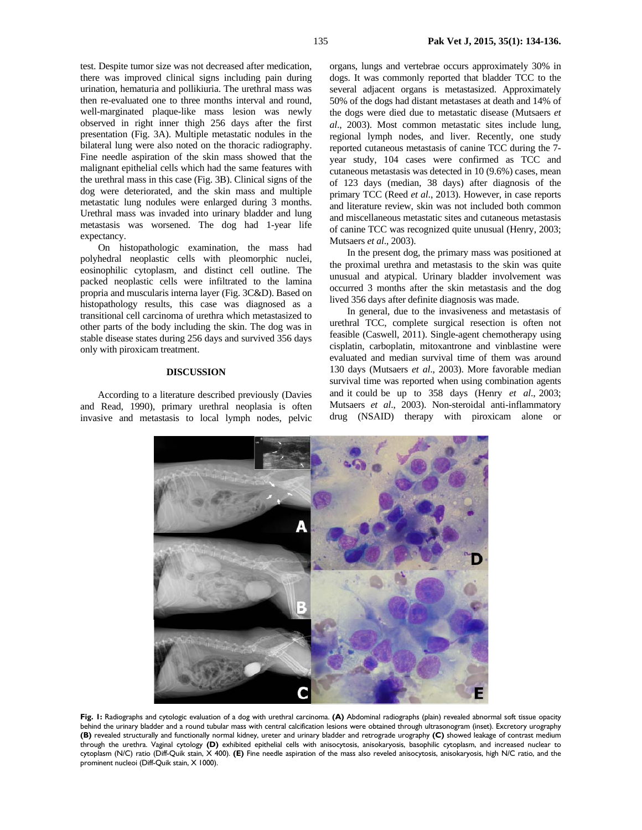test. Despite tumor size was not decreased after medication, there was improved clinical signs including pain during urination, hematuria and pollikiuria. The urethral mass was then re-evaluated one to three months interval and round, well-marginated plaque-like mass lesion was newly observed in right inner thigh 256 days after the first presentation (Fig. 3A). Multiple metastatic nodules in the bilateral lung were also noted on the thoracic radiography. Fine needle aspiration of the skin mass showed that the malignant epithelial cells which had the same features with the urethral mass in this case (Fig. 3B). Clinical signs of the dog were deteriorated, and the skin mass and multiple metastatic lung nodules were enlarged during 3 months. Urethral mass was invaded into urinary bladder and lung metastasis was worsened. The dog had 1-year life expectancy.

On histopathologic examination, the mass had polyhedral neoplastic cells with pleomorphic nuclei, eosinophilic cytoplasm, and distinct cell outline. The packed neoplastic cells were infiltrated to the lamina propria and muscularis interna layer (Fig. 3C&D). Based on histopathology results, this case was diagnosed as a transitional cell carcinoma of urethra which metastasized to other parts of the body including the skin. The dog was in stable disease states during 256 days and survived 356 days only with piroxicam treatment.

#### **DISCUSSION**

According to a literature described previously (Davies and Read, 1990), primary urethral neoplasia is often invasive and metastasis to local lymph nodes, pelvic

organs, lungs and vertebrae occurs approximately 30% in dogs. It was commonly reported that bladder TCC to the several adjacent organs is metastasized. Approximately 50% of the dogs had distant metastases at death and 14% of the dogs were died due to metastatic disease (Mutsaers *et al*., 2003). Most common metastatic sites include lung, regional lymph nodes, and liver. Recently, one study reported cutaneous metastasis of canine TCC during the 7 year study, 104 cases were confirmed as TCC and cutaneous metastasis was detected in 10 (9.6%) cases, mean of 123 days (median, 38 days) after diagnosis of the primary TCC (Reed *et al*., 2013). However, in case reports and literature review, skin was not included both common and miscellaneous metastatic sites and cutaneous metastasis of canine TCC was recognized quite unusual (Henry, 2003; Mutsaers *et al*., 2003).

In the present dog, the primary mass was positioned at the proximal urethra and metastasis to the skin was quite unusual and atypical. Urinary bladder involvement was occurred 3 months after the skin metastasis and the dog lived 356 days after definite diagnosis was made.

In general, due to the invasiveness and metastasis of urethral TCC, complete surgical resection is often not feasible (Caswell, 2011). Single-agent chemotherapy using cisplatin, carboplatin, mitoxantrone and vinblastine were evaluated and median survival time of them was around 130 days (Mutsaers *et al*., 2003). More favorable median survival time was reported when using combination agents and it could be up to 358 days (Henry *et al*., 2003; Mutsaers *et al*., 2003). Non-steroidal anti-inflammatory drug (NSAID) therapy with piroxicam alone or



**Fig. 1:** Radiographs and cytologic evaluation of a dog with urethral carcinoma. **(A)** Abdominal radiographs (plain) revealed abnormal soft tissue opacity behind the urinary bladder and a round tubular mass with central calcification lesions were obtained through ultrasonogram (inset). Excretory urography **(B)** revealed structurally and functionally normal kidney, ureter and urinary bladder and retrograde urography **(C)** showed leakage of contrast medium through the urethra. Vaginal cytology **(D)** exhibited epithelial cells with anisocytosis, anisokaryosis, basophilic cytoplasm, and increased nuclear to cytoplasm (N/C) ratio (Diff-Quik stain, X 400). **(E)** Fine needle aspiration of the mass also reveled anisocytosis, anisokaryosis, high N/C ratio, and the prominent nucleoi (Diff-Quik stain, X 1000).